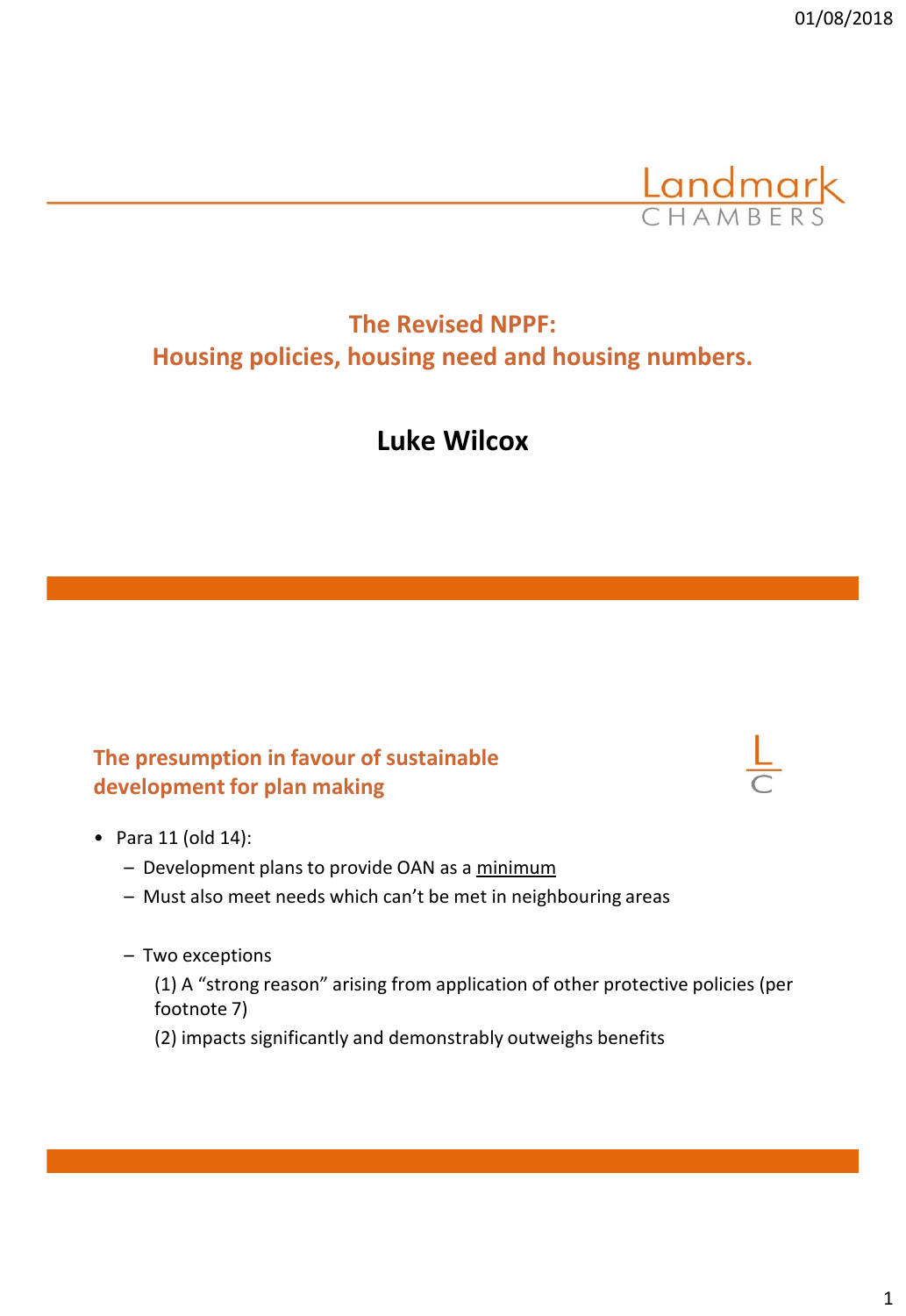

# **The Revised NPPF: Housing policies, housing need and housing numbers.**

# **Luke Wilcox**

## **The presumption in favour of sustainable development for plan making**



- Para 11 (old 14):
	- Development plans to provide OAN as a minimum
	- Must also meet needs which can't be met in neighbouring areas
	- Two exceptions

(1) A "strong reason" arising from application of other protective policies (per footnote 7)

(2) impacts significantly and demonstrably outweighs benefits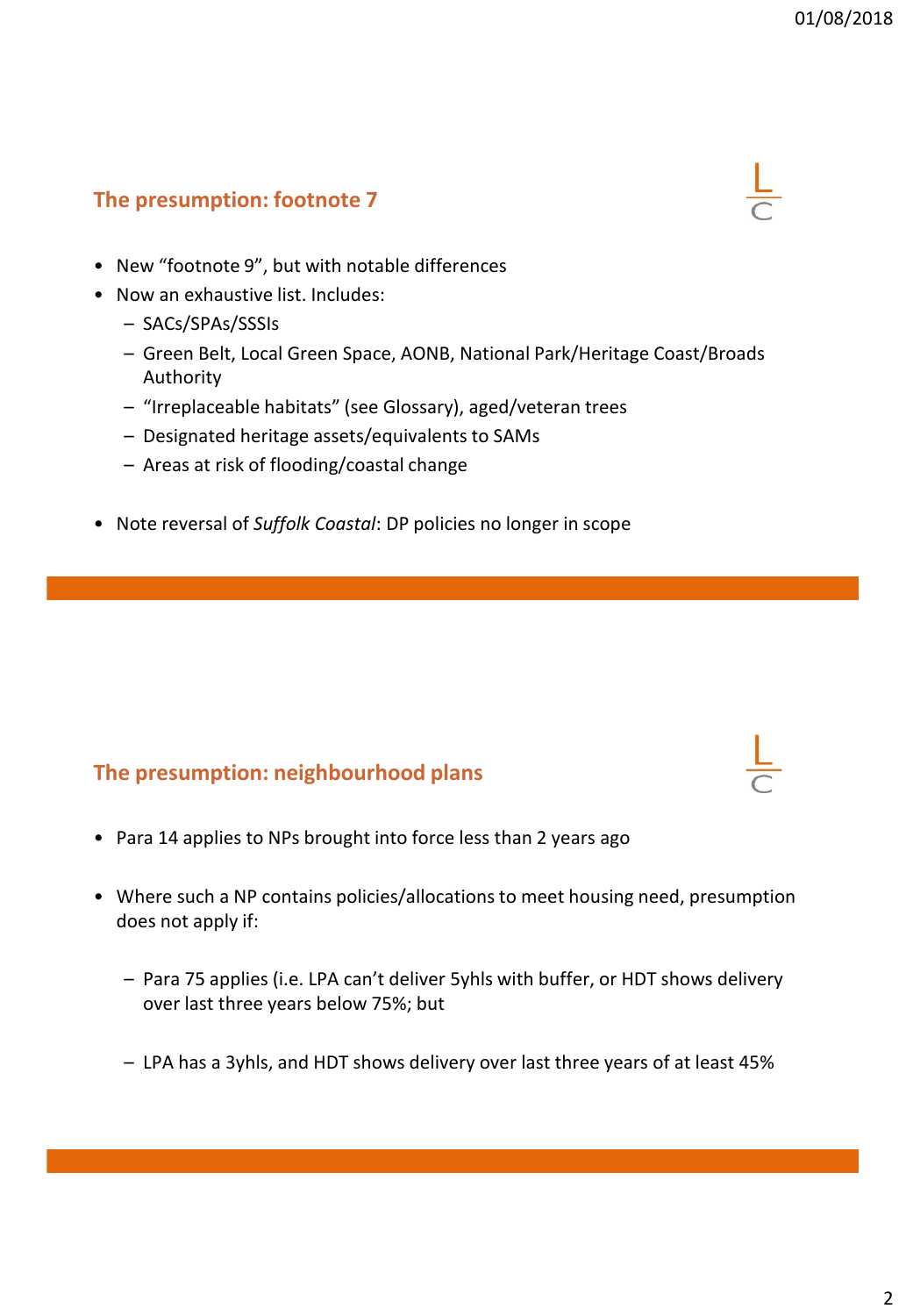#### **The presumption: footnote 7**



- New "footnote 9", but with notable differences
- Now an exhaustive list. Includes:
	- SACs/SPAs/SSSIs
	- Green Belt, Local Green Space, AONB, National Park/Heritage Coast/Broads Authority
	- "Irreplaceable habitats" (see Glossary), aged/veteran trees
	- Designated heritage assets/equivalents to SAMs
	- Areas at risk of flooding/coastal change
- Note reversal of *Suffolk Coastal*: DP policies no longer in scope

#### **The presumption: neighbourhood plans**

- Para 14 applies to NPs brought into force less than 2 years ago
- Where such a NP contains policies/allocations to meet housing need, presumption does not apply if:
	- Para 75 applies (i.e. LPA can't deliver 5yhls with buffer, or HDT shows delivery over last three years below 75%; but
	- LPA has a 3yhls, and HDT shows delivery over last three years of at least 45%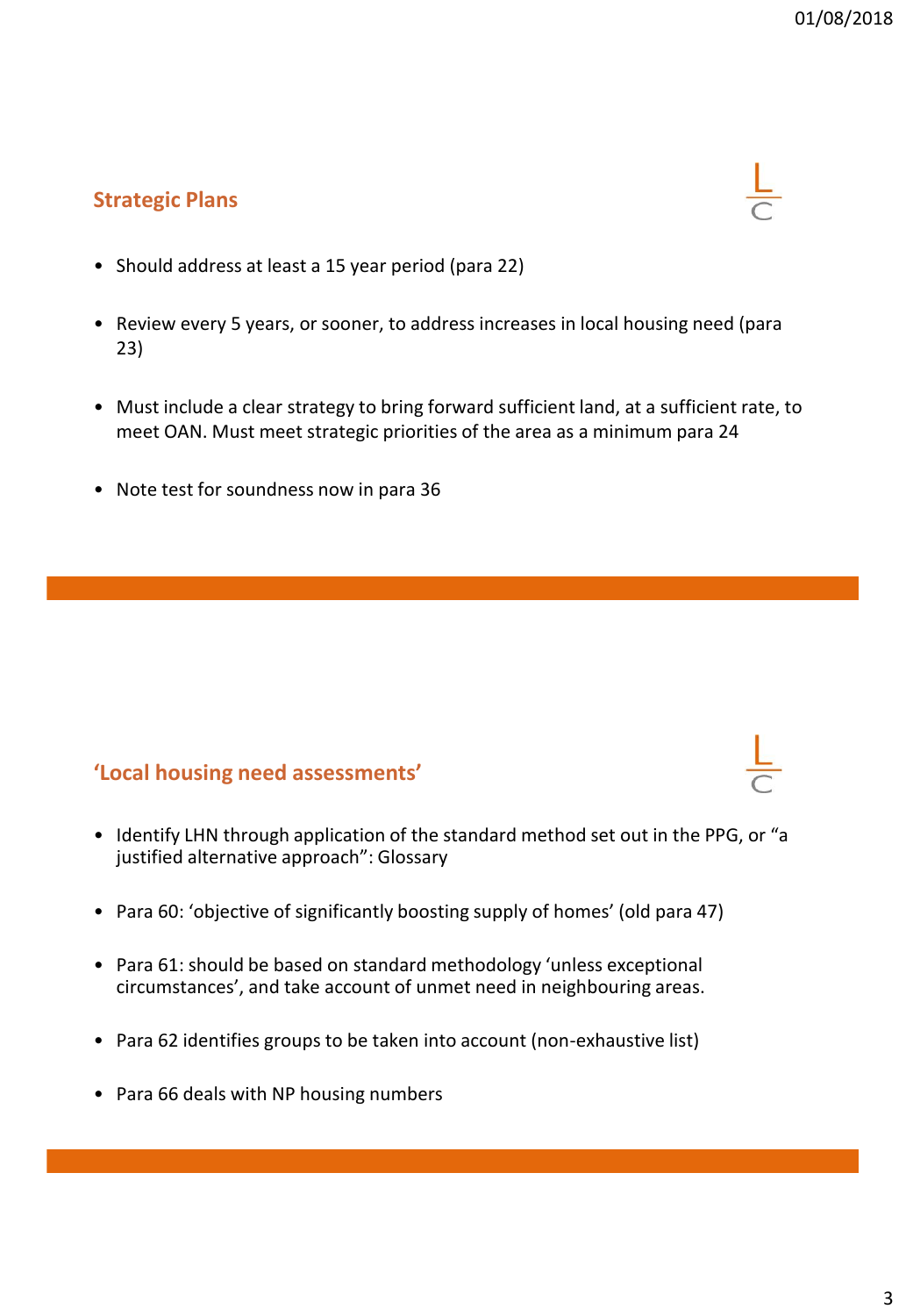## **Strategic Plans**



- Review every 5 years, or sooner, to address increases in local housing need (para 23)
- Must include a clear strategy to bring forward sufficient land, at a sufficient rate, to meet OAN. Must meet strategic priorities of the area as a minimum para 24
- Note test for soundness now in para 36

#### **'Local housing need assessments'**

- Identify LHN through application of the standard method set out in the PPG, or "a justified alternative approach": Glossary
- Para 60: 'objective of significantly boosting supply of homes' (old para 47)
- Para 61: should be based on standard methodology 'unless exceptional circumstances', and take account of unmet need in neighbouring areas.
- Para 62 identifies groups to be taken into account (non-exhaustive list)
- Para 66 deals with NP housing numbers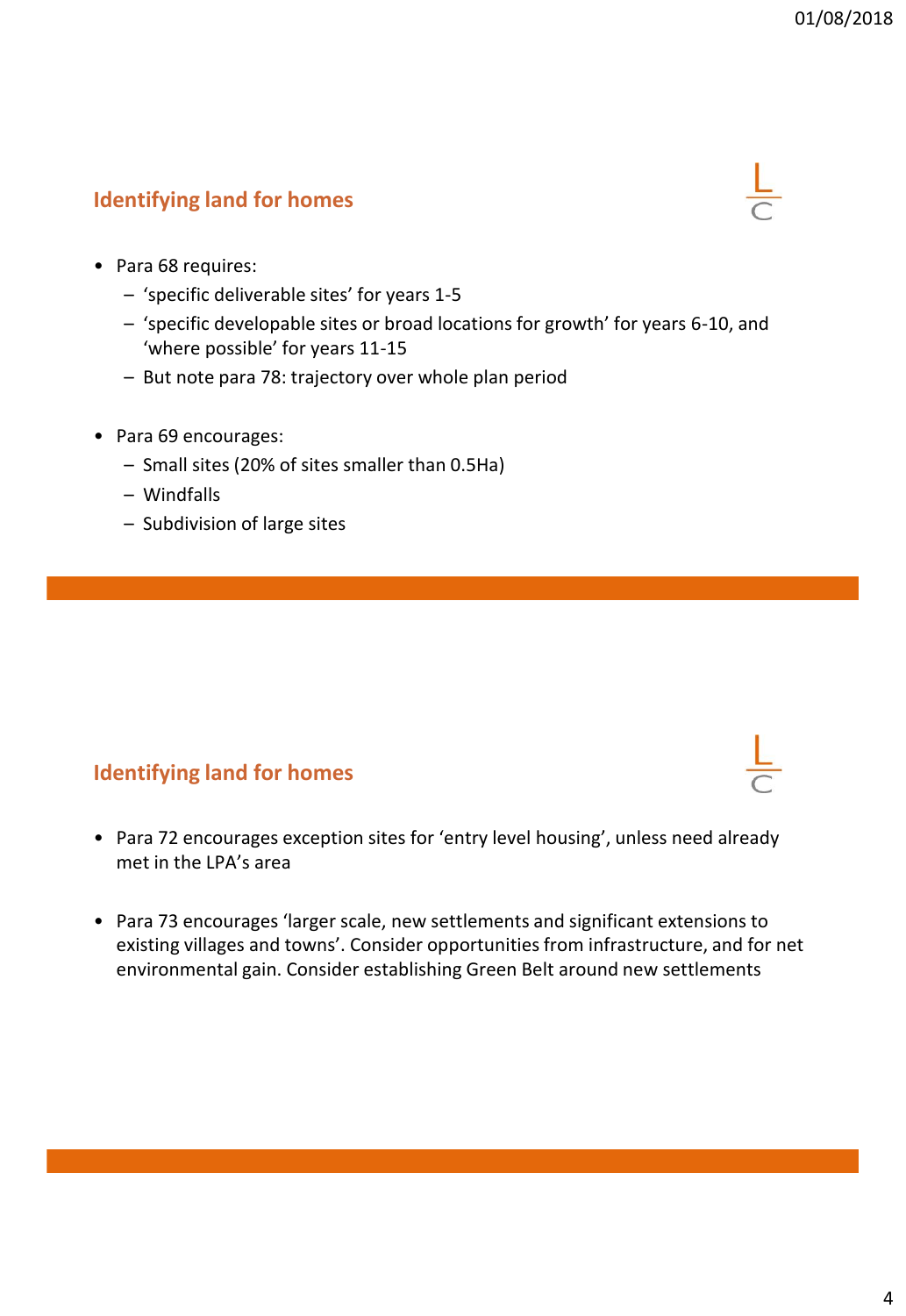## **Identifying land for homes**



- Para 68 requires:
	- 'specific deliverable sites' for years 1-5
	- 'specific developable sites or broad locations for growth' for years 6-10, and 'where possible' for years 11-15
	- But note para 78: trajectory over whole plan period
- Para 69 encourages:
	- Small sites (20% of sites smaller than 0.5Ha)
	- Windfalls
	- Subdivision of large sites

#### **Identifying land for homes**

- Para 72 encourages exception sites for 'entry level housing', unless need already met in the LPA's area
- Para 73 encourages 'larger scale, new settlements and significant extensions to existing villages and towns'. Consider opportunities from infrastructure, and for net environmental gain. Consider establishing Green Belt around new settlements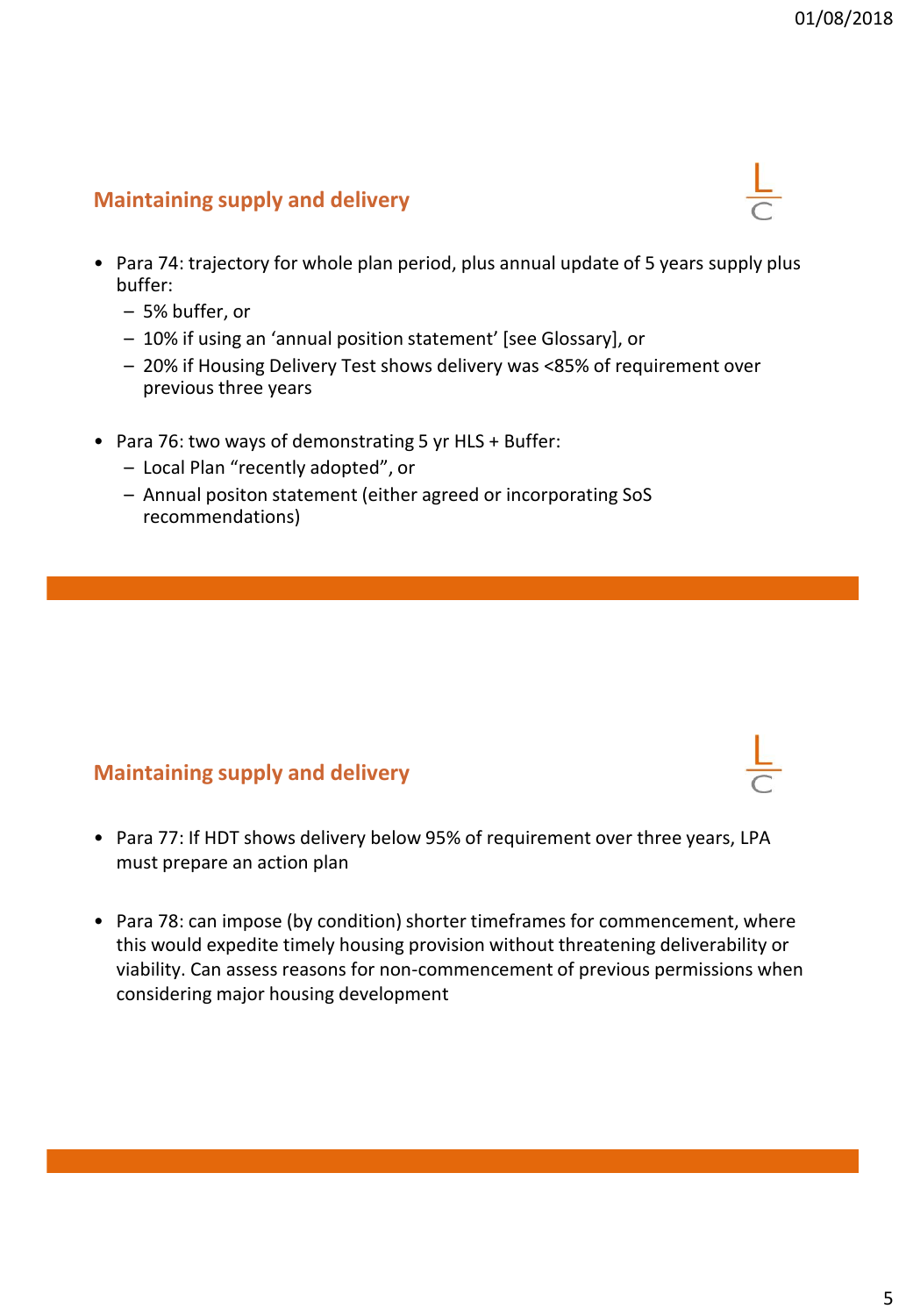## **Maintaining supply and delivery**

- Para 74: trajectory for whole plan period, plus annual update of 5 years supply plus buffer:
	- 5% buffer, or
	- 10% if using an 'annual position statement' [see Glossary], or
	- 20% if Housing Delivery Test shows delivery was <85% of requirement over previous three years
- Para 76: two ways of demonstrating 5 yr HLS + Buffer:
	- Local Plan "recently adopted", or
	- Annual positon statement (either agreed or incorporating SoS recommendations)

#### **Maintaining supply and delivery**

- Para 77: If HDT shows delivery below 95% of requirement over three years, LPA must prepare an action plan
- Para 78: can impose (by condition) shorter timeframes for commencement, where this would expedite timely housing provision without threatening deliverability or viability. Can assess reasons for non-commencement of previous permissions when considering major housing development